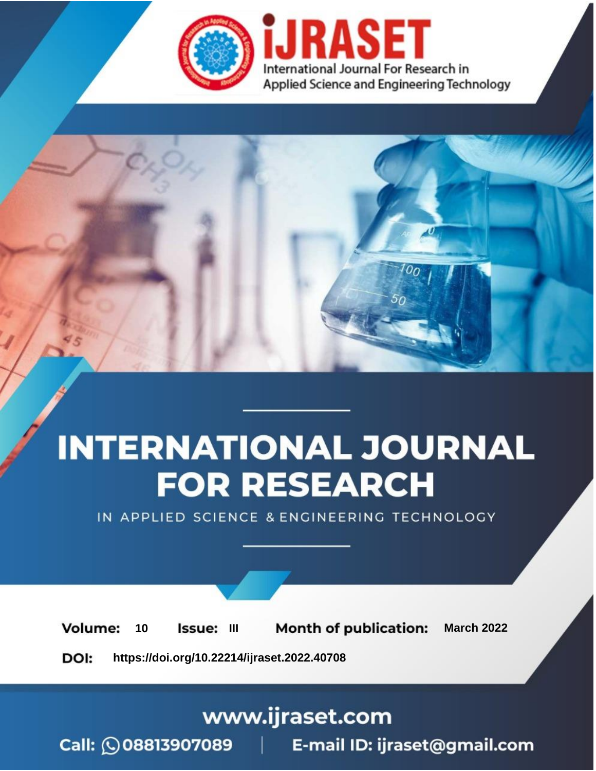

# **INTERNATIONAL JOURNAL FOR RESEARCH**

IN APPLIED SCIENCE & ENGINEERING TECHNOLOGY

10 **Issue: III Month of publication:** March 2022 **Volume:** 

**https://doi.org/10.22214/ijraset.2022.40708**DOI:

www.ijraset.com

Call: 008813907089 | E-mail ID: ijraset@gmail.com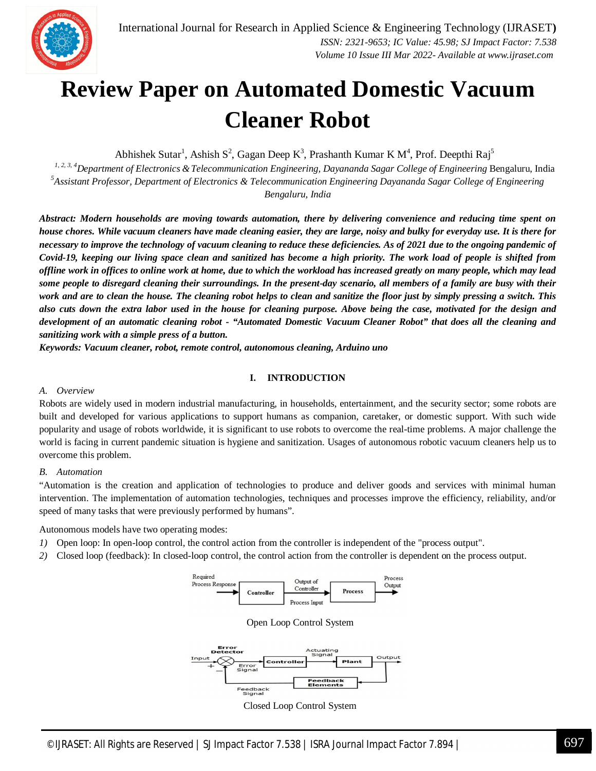### **Review Paper on Automated Domestic Vacuum Cleaner Robot**

Abhishek Sutar<sup>1</sup>, Ashish S<sup>2</sup>, Gagan Deep K<sup>3</sup>, Prashanth Kumar K M<sup>4</sup>, Prof. Deepthi Raj<sup>5</sup>

*1, 2, 3, 4Department of Electronics & Telecommunication Engineering, Dayananda Sagar College of Engineering* Bengaluru, India *<sup>5</sup>Assistant Professor, Department of Electronics & Telecommunication Engineering Dayananda Sagar College of Engineering Bengaluru, India* 

*Abstract: Modern households are moving towards automation, there by delivering convenience and reducing time spent on house chores. While vacuum cleaners have made cleaning easier, they are large, noisy and bulky for everyday use. It is there for necessary to improve the technology of vacuum cleaning to reduce these deficiencies. As of 2021 due to the ongoing pandemic of Covid-19, keeping our living space clean and sanitized has become a high priority. The work load of people is shifted from offline work in offices to online work at home, due to which the workload has increased greatly on many people, which may lead some people to disregard cleaning their surroundings. In the present-day scenario, all members of a family are busy with their work and are to clean the house. The cleaning robot helps to clean and sanitize the floor just by simply pressing a switch. This also cuts down the extra labor used in the house for cleaning purpose. Above being the case, motivated for the design and development of an automatic cleaning robot - "Automated Domestic Vacuum Cleaner Robot" that does all the cleaning and sanitizing work with a simple press of a button.*

*Keywords: Vacuum cleaner, robot, remote control, autonomous cleaning, Arduino uno*

#### **I. INTRODUCTION**

#### *A. Overview*

Robots are widely used in modern industrial manufacturing, in households, entertainment, and the security sector; some robots are built and developed for various applications to support humans as companion, caretaker, or domestic support. With such wide popularity and usage of robots worldwide, it is significant to use robots to overcome the real-time problems. A major challenge the world is facing in current pandemic situation is hygiene and sanitization. Usages of autonomous robotic vacuum cleaners help us to overcome this problem.

#### *B. Automation*

"Automation is the creation and application of technologies to produce and deliver goods and services with minimal human intervention. The implementation of automation technologies, techniques and processes improve the efficiency, reliability, and/or speed of many tasks that were previously performed by humans".

Autonomous models have two operating modes:

- *1*) Open loop: In open-loop control, the control action from the controller is independent of the "process output".
- *2)* Closed loop (feedback): In closed-loop control, the control action from the controller is dependent on the process output.



Open Loop Control System

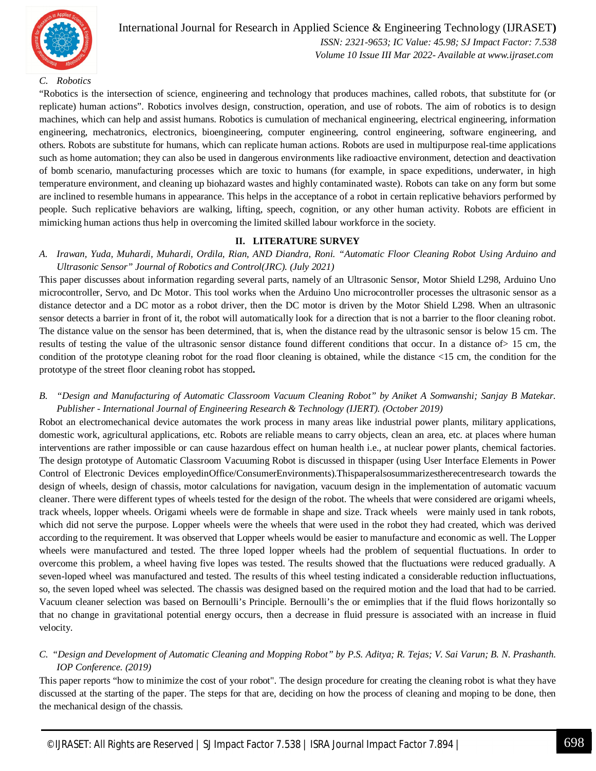

International Journal for Research in Applied Science & Engineering Technology (IJRASET**)**

 *ISSN: 2321-9653; IC Value: 45.98; SJ Impact Factor: 7.538 Volume 10 Issue III Mar 2022- Available at www.ijraset.com*

#### *C. Robotics*

"Robotics is the intersection of science, engineering and technology that produces machines, called robots, that substitute for (or replicate) human actions". Robotics involves design, construction, operation, and use of robots. The aim of robotics is to design machines, which can help and assist humans. Robotics is cumulation of mechanical engineering, electrical engineering, information engineering, mechatronics, electronics, bioengineering, computer engineering, control engineering, software engineering, and others. Robots are substitute for humans, which can replicate human actions. Robots are used in multipurpose real-time applications such as home automation; they can also be used in dangerous environments like radioactive environment, detection and deactivation of bomb scenario, manufacturing processes which are toxic to humans (for example, in space expeditions, underwater, in high temperature environment, and cleaning up biohazard wastes and highly contaminated waste). Robots can take on any form but some are inclined to resemble humans in appearance. This helps in the acceptance of a robot in certain replicative behaviors performed by people. Such replicative behaviors are walking, lifting, speech, cognition, or any other human activity. Robots are efficient in mimicking human actions thus help in overcoming the limited skilled labour workforce in the society.

#### **II. LITERATURE SURVEY**

#### *A. Irawan, Yuda, Muhardi, Muhardi, Ordila, Rian, AND Diandra, Roni. "Automatic Floor Cleaning Robot Using Arduino and Ultrasonic Sensor" Journal of Robotics and Control(JRC). (July 2021)*

This paper discusses about information regarding several parts, namely of an Ultrasonic Sensor, Motor Shield L298, Arduino Uno microcontroller, Servo, and Dc Motor. This tool works when the Arduino Uno microcontroller processes the ultrasonic sensor as a distance detector and a DC motor as a robot driver, then the DC motor is driven by the Motor Shield L298. When an ultrasonic sensor detects a barrier in front of it, the robot will automatically look for a direction that is not a barrier to the floor cleaning robot. The distance value on the sensor has been determined, that is, when the distance read by the ultrasonic sensor is below 15 cm. The results of testing the value of the ultrasonic sensor distance found different conditions that occur. In a distance of> 15 cm, the condition of the prototype cleaning robot for the road floor cleaning is obtained, while the distance <15 cm, the condition for the prototype of the street floor cleaning robot has stopped**.**

#### *B. "Design and Manufacturing of Automatic Classroom Vacuum Cleaning Robot" by Aniket A Somwanshi; Sanjay B Matekar. Publisher - International Journal of Engineering Research & Technology (IJERT). (October 2019)*

Robot an electromechanical device automates the work process in many areas like industrial power plants, military applications, domestic work, agricultural applications, etc. Robots are reliable means to carry objects, clean an area, etc. at places where human interventions are rather impossible or can cause hazardous effect on human health i.e., at nuclear power plants, chemical factories. The design prototype of Automatic Classroom Vacuuming Robot is discussed in thispaper (using User Interface Elements in Power Control of Electronic Devices employedinOffice/ConsumerEnvironments).Thispaperalsosummarizestherecentresearch towards the design of wheels, design of chassis, motor calculations for navigation, vacuum design in the implementation of automatic vacuum cleaner. There were different types of wheels tested for the design of the robot. The wheels that were considered are origami wheels, track wheels, lopper wheels. Origami wheels were de formable in shape and size. Track wheels were mainly used in tank robots, which did not serve the purpose. Lopper wheels were the wheels that were used in the robot they had created, which was derived according to the requirement. It was observed that Lopper wheels would be easier to manufacture and economic as well. The Lopper wheels were manufactured and tested. The three loped lopper wheels had the problem of sequential fluctuations. In order to overcome this problem, a wheel having five lopes was tested. The results showed that the fluctuations were reduced gradually. A seven-loped wheel was manufactured and tested. The results of this wheel testing indicated a considerable reduction influctuations, so, the seven loped wheel was selected. The chassis was designed based on the required motion and the load that had to be carried. Vacuum cleaner selection was based on Bernoulli's Principle. Bernoulli's the or emimplies that if the fluid flows horizontally so that no change in gravitational potential energy occurs, then a decrease in fluid pressure is associated with an increase in fluid velocity.

#### *C. "Design and Development of Automatic Cleaning and Mopping Robot" by P.S. Aditya; R. Tejas; V. Sai Varun; B. N. Prashanth. IOP Conference. (2019)*

This paper reports "how to minimize the cost of your robot". The design procedure for creating the cleaning robot is what they have discussed at the starting of the paper. The steps for that are, deciding on how the process of cleaning and moping to be done, then the mechanical design of the chassis.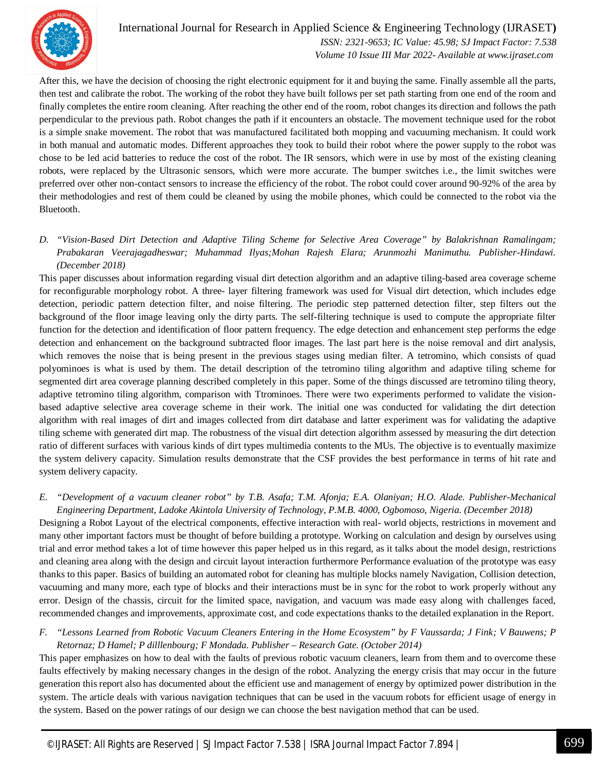

#### International Journal for Research in Applied Science & Engineering Technology (IJRASET**)**  *ISSN: 2321-9653; IC Value: 45.98; SJ Impact Factor: 7.538 Volume 10 Issue III Mar 2022- Available at www.ijraset.com*

After this, we have the decision of choosing the right electronic equipment for it and buying the same. Finally assemble all the parts, then test and calibrate the robot. The working of the robot they have built follows per set path starting from one end of the room and finally completes the entire room cleaning. After reaching the other end of the room, robot changes its direction and follows the path perpendicular to the previous path. Robot changes the path if it encounters an obstacle. The movement technique used for the robot is a simple snake movement. The robot that was manufactured facilitated both mopping and vacuuming mechanism. It could work in both manual and automatic modes. Different approaches they took to build their robot where the power supply to the robot was chose to be led acid batteries to reduce the cost of the robot. The IR sensors, which were in use by most of the existing cleaning robots, were replaced by the Ultrasonic sensors, which were more accurate. The bumper switches i.e., the limit switches were preferred over other non-contact sensors to increase the efficiency of the robot. The robot could cover around 90-92% of the area by their methodologies and rest of them could be cleaned by using the mobile phones, which could be connected to the robot via the Bluetooth.

#### *D. "Vision-Based Dirt Detection and Adaptive Tiling Scheme for Selective Area Coverage" by Balakrishnan Ramalingam; Prabakaran Veerajagadheswar; Muhammad Ilyas;Mohan Rajesh Elara; Arunmozhi Manimuthu. Publisher-Hindawi. (December 2018)*

This paper discusses about information regarding visual dirt detection algorithm and an adaptive tiling-based area coverage scheme for reconfigurable morphology robot. A three- layer filtering framework was used for Visual dirt detection, which includes edge detection, periodic pattern detection filter, and noise filtering. The periodic step patterned detection filter, step filters out the background of the floor image leaving only the dirty parts. The self-filtering technique is used to compute the appropriate filter function for the detection and identification of floor pattern frequency. The edge detection and enhancement step performs the edge detection and enhancement on the background subtracted floor images. The last part here is the noise removal and dirt analysis, which removes the noise that is being present in the previous stages using median filter. A tetromino, which consists of quad polyominoes is what is used by them. The detail description of the tetromino tiling algorithm and adaptive tiling scheme for segmented dirt area coverage planning described completely in this paper. Some of the things discussed are tetromino tiling theory, adaptive tetromino tiling algorithm, comparison with Ttrominoes. There were two experiments performed to validate the visionbased adaptive selective area coverage scheme in their work. The initial one was conducted for validating the dirt detection algorithm with real images of dirt and images collected from dirt database and latter experiment was for validating the adaptive tiling scheme with generated dirt map. The robustness of the visual dirt detection algorithm assessed by measuring the dirt detection ratio of different surfaces with various kinds of dirt types multimedia contents to the MUs. The objective is to eventually maximize the system delivery capacity. Simulation results demonstrate that the CSF provides the best performance in terms of hit rate and system delivery capacity.

#### *E. "Development of a vacuum cleaner robot" by T.B. Asafa; T.M. Afonja; E.A. Olaniyan; H.O. Alade. Publisher-Mechanical Engineering Department, Ladoke Akintola University of Technology, P.M.B. 4000, Ogbomoso, Nigeria. (December 2018)*

Designing a Robot Layout of the electrical components, effective interaction with real- world objects, restrictions in movement and many other important factors must be thought of before building a prototype. Working on calculation and design by ourselves using trial and error method takes a lot of time however this paper helped us in this regard, as it talks about the model design, restrictions and cleaning area along with the design and circuit layout interaction furthermore Performance evaluation of the prototype was easy thanks to this paper. Basics of building an automated robot for cleaning has multiple blocks namely Navigation, Collision detection, vacuuming and many more, each type of blocks and their interactions must be in sync for the robot to work properly without any error. Design of the chassis, circuit for the limited space, navigation, and vacuum was made easy along with challenges faced, recommended changes and improvements, approximate cost, and code expectations thanks to the detailed explanation in the Report.

#### *F. "Lessons Learned from Robotic Vacuum Cleaners Entering in the Home Ecosystem" by F Vaussarda; J Fink; V Bauwens; P Retornaz; D Hamel; P dilllenbourg; F Mondada. Publisher – Research Gate. (October 2014)*

This paper emphasizes on how to deal with the faults of previous robotic vacuum cleaners, learn from them and to overcome these faults effectively by making necessary changes in the design of the robot. Analyzing the energy crisis that may occur in the future generation this report also has documented about the efficient use and management of energy by optimized power distribution in the system. The article deals with various navigation techniques that can be used in the vacuum robots for efficient usage of energy in the system. Based on the power ratings of our design we can choose the best navigation method that can be used.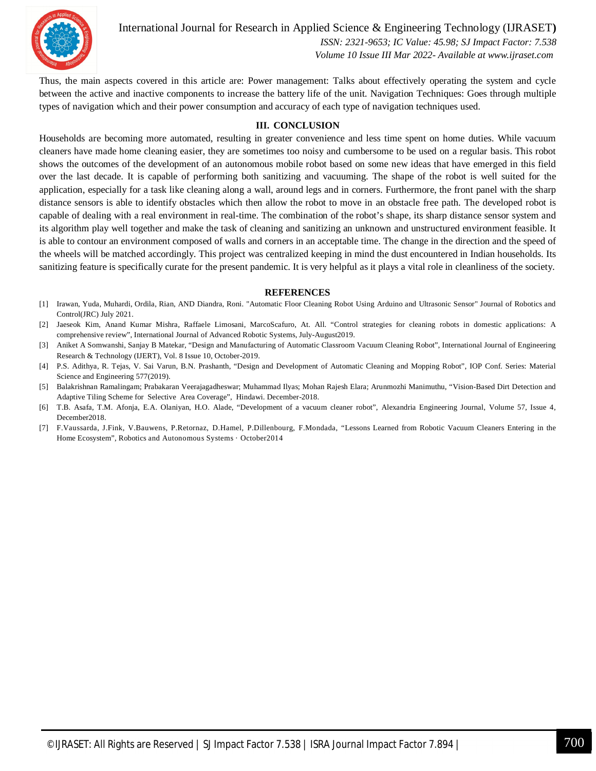

#### International Journal for Research in Applied Science & Engineering Technology (IJRASET**)**

 *ISSN: 2321-9653; IC Value: 45.98; SJ Impact Factor: 7.538 Volume 10 Issue III Mar 2022- Available at www.ijraset.com*

Thus, the main aspects covered in this article are: Power management: Talks about effectively operating the system and cycle between the active and inactive components to increase the battery life of the unit. Navigation Techniques: Goes through multiple types of navigation which and their power consumption and accuracy of each type of navigation techniques used.

#### **III. CONCLUSION**

Households are becoming more automated, resulting in greater convenience and less time spent on home duties. While vacuum cleaners have made home cleaning easier, they are sometimes too noisy and cumbersome to be used on a regular basis. This robot shows the outcomes of the development of an autonomous mobile robot based on some new ideas that have emerged in this field over the last decade. It is capable of performing both sanitizing and vacuuming. The shape of the robot is well suited for the application, especially for a task like cleaning along a wall, around legs and in corners. Furthermore, the front panel with the sharp distance sensors is able to identify obstacles which then allow the robot to move in an obstacle free path. The developed robot is capable of dealing with a real environment in real-time. The combination of the robot's shape, its sharp distance sensor system and its algorithm play well together and make the task of cleaning and sanitizing an unknown and unstructured environment feasible. It is able to contour an environment composed of walls and corners in an acceptable time. The change in the direction and the speed of the wheels will be matched accordingly. This project was centralized keeping in mind the dust encountered in Indian households. Its sanitizing feature is specifically curate for the present pandemic. It is very helpful as it plays a vital role in cleanliness of the society.

#### **REFERENCES**

- [1] Irawan, Yuda, Muhardi, Ordila, Rian, AND Diandra, Roni. "Automatic Floor Cleaning Robot Using Arduino and Ultrasonic Sensor" Journal of Robotics and Control(JRC) July 2021.
- [2] Jaeseok Kim, Anand Kumar Mishra, Raffaele Limosani, MarcoScafuro, At. All. "Control strategies for cleaning robots in domestic applications: A comprehensive review", International Journal of Advanced Robotic Systems, July-August2019.
- [3] Aniket A Somwanshi, Sanjay B Matekar, "Design and Manufacturing of Automatic Classroom Vacuum Cleaning Robot", International Journal of Engineering Research & Technology (IJERT), Vol. 8 Issue 10, October-2019.
- [4] P.S. Adithya, R. Tejas, V. Sai Varun, B.N. Prashanth, "Design and Development of Automatic Cleaning and Mopping Robot", IOP Conf. Series: Material Science and Engineering 577(2019).
- [5] Balakrishnan Ramalingam; Prabakaran Veerajagadheswar; Muhammad Ilyas; Mohan Rajesh Elara; Arunmozhi Manimuthu, "Vision-Based Dirt Detection and Adaptive Tiling Scheme for Selective Area Coverage", Hindawi. December-2018.
- [6] T.B. Asafa, T.M. Afonja, E.A. Olaniyan, H.O. Alade, "Development of a vacuum cleaner robot", Alexandria Engineering Journal, Volume 57, Issue 4, December2018.
- [7] F.Vaussarda, J.Fink, V.Bauwens, P.Retornaz, D.Hamel, P.Dillenbourg, F.Mondada, "Lessons Learned from Robotic Vacuum Cleaners Entering in the Home Ecosystem", Robotics and Autonomous Systems · October2014